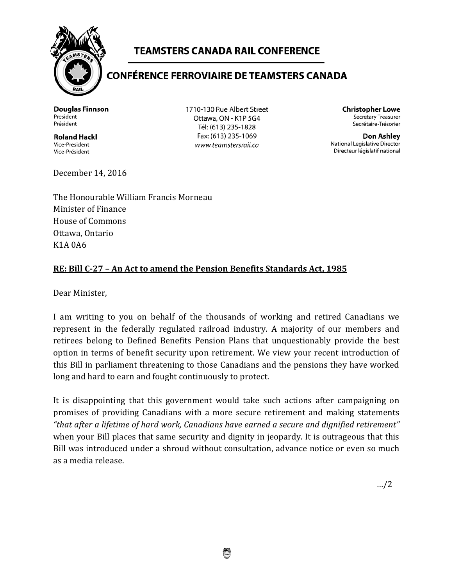

## **TEAMSTERS CANADA RAIL CONFERENCE**

## **CONFÉRENCE FERROVIAIRE DE TEAMSTERS CANADA**

**Douglas Finnson** President Président

**Roland Hackl** Vice-President Vice-Président

1710-130 Rue Albert Street Ottawa, ON - K1P 5G4 Tél: (613) 235-1828 Fax: (613) 235-1069 www.teamstersrail.ca

**Christopher Lowe** Secretary Treasurer Secrétaire-Trésorier

Don Ashley National Legislative Director Directeur législatif national

December 14, 2016

The Honourable William Francis Morneau Minister of Finance House of Commons Ottawa, Ontario K1A 0A6

## **RE: Bill C-27 – An Act to amend the Pension Benefits Standards Act, 1985**

Dear Minister,

I am writing to you on behalf of the thousands of working and retired Canadians we represent in the federally regulated railroad industry. A majority of our members and retirees belong to Defined Benefits Pension Plans that unquestionably provide the best option in terms of benefit security upon retirement. We view your recent introduction of this Bill in parliament threatening to those Canadians and the pensions they have worked long and hard to earn and fought continuously to protect.

It is disappointing that this government would take such actions after campaigning on promises of providing Canadians with a more secure retirement and making statements *"that after a lifetime of hard work, Canadians have earned a secure and dignified retirement"* when your Bill places that same security and dignity in jeopardy. It is outrageous that this Bill was introduced under a shroud without consultation, advance notice or even so much as a media release.

…/2